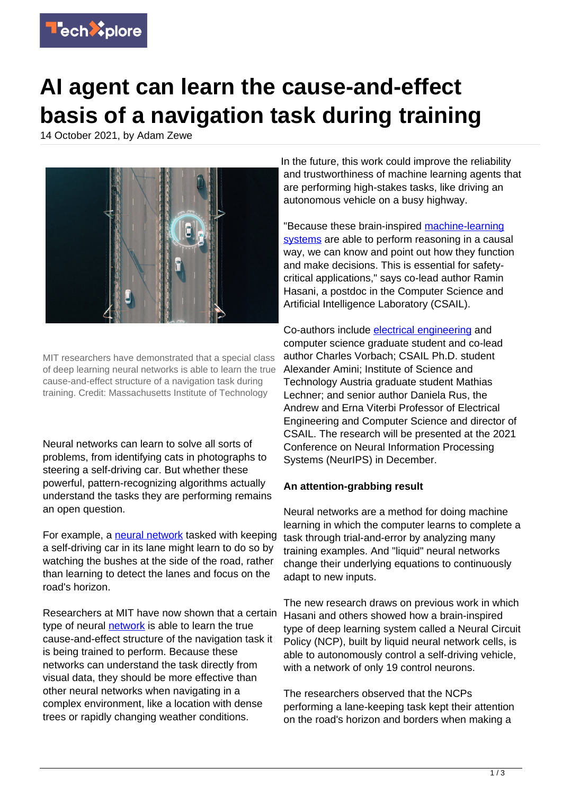

## **AI agent can learn the cause-and-effect basis of a navigation task during training**

14 October 2021, by Adam Zewe



MIT researchers have demonstrated that a special class of deep learning neural networks is able to learn the true cause-and-effect structure of a navigation task during training. Credit: Massachusetts Institute of Technology

Neural networks can learn to solve all sorts of problems, from identifying cats in photographs to steering a self-driving car. But whether these powerful, pattern-recognizing algorithms actually understand the tasks they are performing remains an open question.

For example, a [neural network](https://techxplore.com/tags/neural+network/) tasked with keeping a self-driving car in its lane might learn to do so by watching the bushes at the side of the road, rather than learning to detect the lanes and focus on the road's horizon.

Researchers at MIT have now shown that a certain type of neural [network](https://techxplore.com/tags/network/) is able to learn the true cause-and-effect structure of the navigation task it is being trained to perform. Because these networks can understand the task directly from visual data, they should be more effective than other neural networks when navigating in a complex environment, like a location with dense trees or rapidly changing weather conditions.

In the future, this work could improve the reliability and trustworthiness of machine learning agents that are performing high-stakes tasks, like driving an autonomous vehicle on a busy highway.

"Because these brain-inspired [machine-learning](https://techxplore.com/tags/machine-learning+systems/) [systems](https://techxplore.com/tags/machine-learning+systems/) are able to perform reasoning in a causal way, we can know and point out how they function and make decisions. This is essential for safetycritical applications," says co-lead author Ramin Hasani, a postdoc in the Computer Science and Artificial Intelligence Laboratory (CSAIL).

Co-authors include [electrical engineering](https://techxplore.com/tags/electrical+engineering/) and computer science graduate student and co-lead author Charles Vorbach; CSAIL Ph.D. student Alexander Amini; Institute of Science and Technology Austria graduate student Mathias Lechner; and senior author Daniela Rus, the Andrew and Erna Viterbi Professor of Electrical Engineering and Computer Science and director of CSAIL. The research will be presented at the 2021 Conference on Neural Information Processing Systems (NeurIPS) in December.

## **An attention-grabbing result**

Neural networks are a method for doing machine learning in which the computer learns to complete a task through trial-and-error by analyzing many training examples. And "liquid" neural networks change their underlying equations to continuously adapt to new inputs.

The new research draws on previous work in which Hasani and others showed how a brain-inspired type of deep learning system called a Neural Circuit Policy (NCP), built by liquid neural network cells, is able to autonomously control a self-driving vehicle, with a network of only 19 control neurons.

The researchers observed that the NCPs performing a lane-keeping task kept their attention on the road's horizon and borders when making a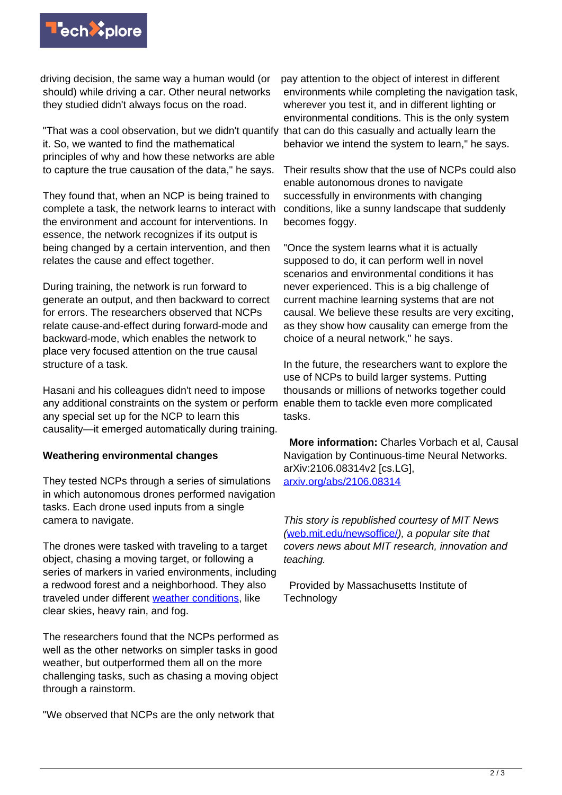

driving decision, the same way a human would (or should) while driving a car. Other neural networks they studied didn't always focus on the road.

"That was a cool observation, but we didn't quantify that can do this casually and actually learn the it. So, we wanted to find the mathematical principles of why and how these networks are able to capture the true causation of the data," he says.

They found that, when an NCP is being trained to complete a task, the network learns to interact with the environment and account for interventions. In essence, the network recognizes if its output is being changed by a certain intervention, and then relates the cause and effect together.

During training, the network is run forward to generate an output, and then backward to correct for errors. The researchers observed that NCPs relate cause-and-effect during forward-mode and backward-mode, which enables the network to place very focused attention on the true causal structure of a task.

Hasani and his colleagues didn't need to impose any additional constraints on the system or perform any special set up for the NCP to learn this causality—it emerged automatically during training.

## **Weathering environmental changes**

They tested NCPs through a series of simulations in which autonomous drones performed navigation tasks. Each drone used inputs from a single camera to navigate.

The drones were tasked with traveling to a target object, chasing a moving target, or following a series of markers in varied environments, including a redwood forest and a neighborhood. They also traveled under different [weather conditions](https://techxplore.com/tags/weather+conditions/), like clear skies, heavy rain, and fog.

The researchers found that the NCPs performed as well as the other networks on simpler tasks in good weather, but outperformed them all on the more challenging tasks, such as chasing a moving object through a rainstorm.

"We observed that NCPs are the only network that

pay attention to the object of interest in different environments while completing the navigation task, wherever you test it, and in different lighting or environmental conditions. This is the only system behavior we intend the system to learn," he says.

Their results show that the use of NCPs could also enable autonomous drones to navigate successfully in environments with changing conditions, like a sunny landscape that suddenly becomes foggy.

"Once the system learns what it is actually supposed to do, it can perform well in novel scenarios and environmental conditions it has never experienced. This is a big challenge of current machine learning systems that are not causal. We believe these results are very exciting, as they show how causality can emerge from the choice of a neural network," he says.

In the future, the researchers want to explore the use of NCPs to build larger systems. Putting thousands or millions of networks together could enable them to tackle even more complicated tasks.

 **More information:** Charles Vorbach et al, Causal Navigation by Continuous-time Neural Networks. arXiv:2106.08314v2 [cs.LG], [arxiv.org/abs/2106.08314](https://arxiv.org/abs/2106.08314)

This story is republished courtesy of MIT News ([web.mit.edu/newsoffice/](http://web.mit.edu/newsoffice/)), a popular site that covers news about MIT research, innovation and teaching.

 Provided by Massachusetts Institute of **Technology**